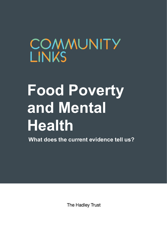## COMMUNITY **LINKS**

# **Food Poverty and Mental Health**

**What does the current evidence tell us?**

The Hadley Trust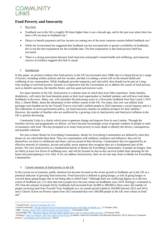

#### **Food Poverty and Insecurity**

- 1. Key facts
- Foodbank use in the UK is roughly 90 times higher than it was a decade ago, and in the past year alone there has been a 6% increase in foodbank use.<sup>1</sup>
- Delays to benefit payments and low income are among two of the most common reasons behind foodbank use.<sup>2</sup>
- While the Government has suggested that foodbank use has increased due to greater availability of foodbanks, this is not the best explanation for the available data. The best explanation is that food poverty itself has increased.
- There is a strong association between food insecurity and people's mental health and wellbeing, and numerous sources of evidence suggests this link is causal.

#### 2. Introduction

In this paper, we present evidence that food poverty in the UK has increased since 2008; that it is being driven by a range of factors, including welfare policies and low income; and that it is taking a severe toll on the mental health and wellbeing of our communities. While foodbanks provide temporary and vital relief, they should not be part of a longterm strategy to end food poverty. Instead, it is imperative that the Government act to address the causes of food poverty, such as benefit sanctions, the benefits freeze, and low-paid and insecure work.

For many families in the UK, food poverty is a distant issue of which they have little experience. Some families, doubtlessly, will notice the food donation points at their local supermarket or football stadium, and will have read about foodbanks in the news. Many, too, will remember the distressing scene in a Newcastle foodbank from Ken Loach's 2016 film, *I, Daniel Blake,* about the inhumanity of the welfare system in the UK. For many, that over one million food packages were handed out by the Trussell Trust to over half a million people in 2016 represents a social injustice and is a dire indictment of recent government policy, yet food insecurity remains an unlikely prospect for their families.<sup>3</sup> However, the number of families who are unaffected by a growing crisis in food poverty and food price inflation in the UK is quickly decreasing.

Community Links is a charity which aims to generate change and improve lives in east London. Through the frontline services and programmes we deliver, we have become increasingly aware of greater numbers of people in need of assistance with food. This has prompted us to study food poverty in more depth to identify the drivers, consequences, and possible solutions.

We aim to foster Ready for Everything Communities. Ready for Everything Communities are defined by what they dream of, not what holds them back. They are communities with ambition, resilience and influence; that care for themselves; are keen to collaborate and share; and are proud of their diversity. Communities that are supported by an effective network of voluntary, private and public sector partners that recognise they are a fundamental part of the picture. We view food poverty as a fundamental barrier to Ready for Everything Communities. If people are hungry, they are likely to have low levels of wellbeing now, and will be focused on day-to-day survival (rather than planning for the future and participating in civic life). If we can address food poverty, then we are one step closer to Ready for Everything Communities.

#### 3. Current situation of food poverty in the UK

In the current era of austerity, public attention has become focused on the recent growth in foodbank use in the UK as a potential indicator of growing food insecurity. Food insecurity is defined as going hungry, at risk of going hungry or worried about going hungry due to not being able to afford food.<sup>4</sup> Although there are conflicting figures as to the true extent of foodbank use, it is clear that more people have become reliant on foodbanks since 2010. Kellogg's estimated in 2013 that the amount of people fed by foodbanks had increased from 26,000 to 280,000 in three years; the number of people receiving food from Trussell Trust foodbanks in a six month period tripled to 350,000 between 2012 and 2013; and a Church Action on Poverty report from 2013 estimated that over 500,000 people in the UK were reliant on food aid.<sup>5</sup>

**.** 

<sup>&</sup>lt;sup>1</sup> Trussell Trust[, 'End of Year Stats 2017/18'.](https://www.trusselltrust.org/news-and-blog/latest-stats/end-year-stats/#fy-2011-2012)

<sup>2</sup> Oxford University[, 'Strong link between increased benefit sanctions and higher foodbank use',](http://www.ox.ac.uk/news/2016-10-27-strong-link-between-increased-benefit-sanctions-and-higher-foodbank-use) 27 October 2016.

<sup>3</sup> BBC[, 'Reality Check: Did a million people use food banks?',](https://www.bbc.co.uk/news/uk-politics-37875675) 4 November 2016.

<sup>4</sup> End Hunger UK, ['Shocking figures showing hidden hunger show why we need to find out more',](http://endhungeruk.org/shocking-figures-showing-hidden-hunger-show-need-find/#more-274) 30 January 2018.

<sup>5</sup> Kellogg's, *[Hard to Swallow: The Facts about Food Poverty](https://www.kelloggs.co.uk/content/dam/europe/kelloggs_gb/pdf/R3_Facts%20about%20Food%20Poverty%20ReportFINAL.pdf)* (London: Centre for Economics and Business Research, 2013); House of Commons Library, ['Food Banks and Food Poverty'](http://researchbriefings.parliament.uk/ResearchBriefing/Summary/SN06657) (2014).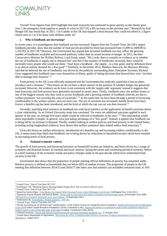### **COMMUNITY**

Trussell Trust figures from 2018 highlight that food insecurity has continued to grow quickly as the charity gave over 1.3m emergency food supplies to people in crisis in 2017/18, a 6% increase on the previous year.<sup>6</sup> Research by End Hunger UK has found that, in 2017, 1 in 6 adults in the UK had skipped a meal because they could not afford it, a figure which rises to 1 in 4 for those with children under  $18$ .<sup>7</sup>

#### **i. Why is foodbank use increasing?**

In recent years, it is unambiguous that foodbank use has increased. Figures from the Trussell Trust, the UK's largest foodbank provider, show that the number of food parcels provided by them has increased from 15,899 in 2008/09 to 1,332,952 in 2017/18. <sup>8</sup> However, the Government has argued that increased foodbank use may reflect the growing number of foodbanks available and increased publicity, rather than an actual increase in hunger. In 2013, the then Conservative Minister for Welfare Reform, Lord Freud, stated: "My Lords, there is actually no evidence as to whether the use of foodbanks is supply-led or demand-led" and that if the numbers of foodbanks increased, there would be inevitably more people who would use them: "food from a foodbank—the supply—is a free good, and by definition there is an almost infinite demand for a free good".<sup>9</sup> Similarly, in December 2014, Matthew Hancock, the Business Minister, said that he believed the use of foodbanks was driven by the publicity surrounding them. Education Secretary Michael Gove suggested that foodbank users were themselves to blame, guilty of taking decisions that showed they were "not best able to manage their finances". 10

Food poverty in the UK is not officially measured and the Government has explicitly stated that it has no plans introduce such a measure.<sup>11</sup> This means we do not have a direct answer to the question of whether hunger has genuinely increased. However, the evidence we do have is not consistent with the 'supply-side' argument; instead it suggests that food insecurity and food poverty have genuinely increased in recent years. Firstly, foodbank users cite welfare issues as one of the biggest reasons why they need to access foodbanks and a growing number of foodbank referrals are due to welfare payments "not covering the costs of essentials".<sup>12</sup> At the same time we have been through a period of increasing conditionality in the welfare system, and real-term cuts. The use of sanctions has increased; benefit levels have been frozen; a benefits cap has been introduced; and the level at which the cap was set was then lowered.<sup>13</sup>

Secondly, matching local statistics on foodbank use with local statistics on the application of benefit sanctions shows a clear relationship. As an Oxford University study has concluded "for every ten additional sanctions applied in each quarter of the year, on average five more adults would be referred to foodbanks in the area".<sup>14</sup> This relationship would seem improbable if people, in general, were just taking advantage of a "free good". Instead, it appears that foodbank use is being led by an increase in demand. Thirdly, studies looking at welfare policies and food poverty in the United States, including strong longitudinal evidence, have shown that welfare assistance does indeed reduce food insecurity.<sup>15</sup>

Given the freeze on welfare allowances, introduction of a benefits cap and increasing welfare conditionality in the UK, it seems more than likely that foodbank use is being driven by reductions to household income which have resulted in increasing levels of food poverty.

#### **ii. National economic context**

The growth of food poverty and downward pressure on household income are linked to, and likely driven by, a range of economic and financial factors, in national and local contexts, during the recent and continuing period of austerity. Below is a brief summary of the economic trends and policy changes made in the past decade which have undermined food security in the UK.

Government data shows that the proportion of people meeting official definitions of poverty has remained stable. Relative poverty is defined as households that are below 60% of median income. The proportion of people in the UK meeting this definition between 2014/15 and 2016/17 (the latest year that statistics are available) remained static at 16%

<sup>14</sup> Oxford University, ['Strong link between increased benefit sanctions and higher foodbank use',](http://www.ox.ac.uk/news/2016-10-27-strong-link-between-increased-benefit-sanctions-and-higher-foodbank-use) 27 October 2016.

**<sup>.</sup>** <sup>6</sup> Trussell Trust, 'End of Year Stats 2017/18'.

<sup>7</sup> End Hunger UK, 'Shocking figures showing hidden hunger show why we need to find out more'.

<sup>8</sup> Trussell Trust, 'End of Year Stats 2017/18'.

<sup>9</sup> Quoted by Jessica Elgot[, 'Food Banks Not Linked With Growing Poverty, Says Millionaire Lord Freud',](https://www.huffingtonpost.co.uk/2013/07/03/food-banks-lord-freud_n_3538747.html?guccounter=1) Huffington Post, 3 July 2013.

<sup>&</sup>lt;sup>10</sup> Quoted by Patrick Wintour and Patrick Butler, <u>'Tories seek to avert rift with Church of England over food bank report',</u> 8 December 2014; BBC,

[<sup>&#</sup>x27;Michael Gove 'insulted' food-bank users, says Labour',](http://www.bbc.co.uk/news/uk-politics-24042446) 10 September 2013. <sup>11</sup> Parliament.UK, 'Food [Banks: Written question –](https://www.parliament.uk/business/publications/written-questions-answers-statements/written-question/Commons/2017-10-23/109156/) 109156'.

<sup>&</sup>lt;sup>12</sup> Trussell Trust, 'End of Year Stats 2017/18'.

<sup>&</sup>lt;sup>13</sup> On the increasing use of sanctions and "conditionality" in the welfare system see Joseph Rowntree Foundation, *Welfare Sanctions and Conditionality [in the UK](https://www.jrf.org.uk/report/welfare-sanctions-and-conditionality-uk)* (London: Joseph Rowntree Foundation, 2014); Community Links, *[Tipping the balance? A qualitative study on the cumulative impacts of](https://s16880.pcdn.co/wp-content/uploads/2018/02/TIPPING_THE__BALANCE.pdf)  [welfare reform in the London Borough of Newham](https://s16880.pcdn.co/wp-content/uploads/2018/02/TIPPING_THE__BALANCE.pdf)* (London: Community Links, 2014).

<sup>&</sup>lt;sup>15</sup> United States Department of Agriculture, 'Measuring the effect of Supplemental Nutrition Assistance Program participation on food security [\(Summary\)',](https://fns-prod.azureedge.net/sites/default/files/Measuring2013Sum.pdf) August 2013.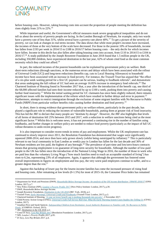

before housing costs. However, taking housing costs into account the proportion of people meeting the definition has risen slightly from 21% to 22%.<sup>16</sup>

While important and useful, the Government's official measures mask severe geographical inequalities and do not tell us about the severity of poverty people are facing. In the London Borough of Newham, for example, only two wards have a poverty rate of less than 31%, whilst several have a poverty rate above 40%.<sup>17</sup> To get a picture of the severity of poverty, we can look at changes in real terms income. The data shows that while most people's incomes have increased, the incomes of those at the very bottom of the scale have decreased. For those in the poorest 10% of households, income has fallen from £193 per week in 2014/15 to £188 in 2016/17 before housing costs – the only decile for which incomes have fallen. Income in this decile has also fallen after taking housing costs into account, from £110 in 2014/15 to £104 in 2016/17.<sup>18</sup> A study published by the Joseph Rowntree Foundation in June 2018 found that 1.5 million people in the UK, including 350,000 children, have experienced destitution in the last year, 62% of whom cited food as the most common necessity which they could not afford.<sup>19</sup>

In part, the reduced incomes of the poorest households can be explained by government policy on welfare. Both short-term reductions (through sanctions, or the numerous errors and delays which have been associated with the rollout of Universal Credit [UC]) and long-term reductions (benefits cap, cuts to Local Housing Allowance) to household income have been associated with an increase in food poverty. For instance, the Trussell Trust has argued that "the effect of a six-plus week waiting period for a first UC payment can be serious, leading to foodbank referrals", and demonstrate that areas undergoing the full rollout of UC had seen an average 16.85% increase in emergency food referrals.<sup>20</sup> The Chartered Institute of Housing found in November 2017 that, a year after the introduction of the benefit cap, one third of the 68,000 affected families had seen their income reduced by up to  $\pounds 100$  a week, pushing them into poverty and causing further food insecurity.<sup>21</sup> Whilst the initial waiting period for UC claimants has since been slightly reduced, there remains significant issues with the implementation of the reform which have resulted in further delays and error in payment.<sup>22</sup> Furthermore, attempts to restrict immigration through the exclusion of some migrant families with No Recourse to Public Funds (NRPF) from particular welfare benefits risks causing further destitution and food poverty.<sup>23</sup>

In short, there is strong evidence that government policy on welfare reform, particularly in the past decade, has played a significant role in reducing the incomes of vulnerable households, putting them at greater risk of food insecurity. This has led the JRF to declare that many people are "destitute by design". However, the JRF also highlights that levels of all forms of destitution fell 25% between 2015 and 2017, with a reduction in welfare sanctions being cited as the most significant factor.<sup>24</sup> Whilst this is welcome news, it has not prevented a continuing rise in the number of families using foodbanks, and further changes in welfare policy are needed to reduce food poverty (particularly as the impact of full UC rollout threatens to undo recent progress).

It is also important to consider recent trends in terms of pay and employment. Whilst the UK employment rate has continued to slowly improve since 2011, the Resolution Foundation has demonstrated that wages were significantly squeezed 2008-2014, and since then have only grown slowly (whilst being outstripped by inflation).<sup>25</sup> This is particularly relevant to our local community in East London as weekly pay in London has fallen for the last decade and 36% of Newham residents are low paid, the highest of any borough.<sup>26</sup> The prevalence of part-time and low/zero-hours contracts means that growing employment is no guarantee of long-term security for households. Although the number of low-paid people in the UK has fallen since the introduction of the National Living Wage in 2016, the number of those in work who are paid less than the voluntary Living Wage ("how much families need to reach an acceptable standard of living") has risen to 6.2m, representing 23% of all employees. Again, it appears that although the government has fostered some overall improvements in figures on employment and low-pay, the very worst paid employees continue to suffer, and to a greater degree than the rest. 27

Against this backdrop of lower pay for the lowest-income families has come the increased pressure of rising food and housing costs. After remaining at low levels (0-1.5%) for most of 2015-16, the Consumer Price Index has remained

**.** 

<sup>24</sup> JRF, *Destitution in the UK 2018*, p.2.

<sup>16</sup> Department for Work and Pensions (DWP), *[Households Below Average Income: An analysis of the UK income distribution: 1994/95-2016/17](https://assets.publishing.service.gov.uk/government/uploads/system/uploads/attachment_data/file/691917/households-below-average-income-1994-1995-2016-2017.pdf)* (ONS: London, 2017), p.7.

<sup>17</sup> New Policy Institute (NPI), *[London's Poverty Profile 2017](https://www.trustforlondon.org.uk/publications/londons-poverty-profile-2017/)* (New Policy Institute: London, 2017), p.39.

<sup>18</sup> DWP, *Households Below Average Income*.

<sup>19</sup> Joseph Rowntree Foundation, *[Destitution in the UK 2018](https://www.jrf.org.uk/report/destitution-uk-2018)* (JRF: York, 2018), p.2.

<sup>20</sup> Trussell Trust, *[Early Warnings: Universal Credit and Foodbanks](https://www.trusselltrust.org/wp-content/uploads/sites/2/2017/04/Early-Warnings-Universal-Credit-and-Foodbanks.pdf)* (Trussell Trust: London, 2017), p.3.

<sup>&</sup>lt;sup>21</sup> Chartered Institute of Housing[, 'A year on lower benefit cap is pushing thousands into poverty',](http://www.cih.org/news-article/display/vpathDCR/templatedata/cih/news-article/data/A_year_on_lower_benefit_cap_is_pushing_thousands_into_poverty_-_says_CIH) 2 November 2017.

<sup>22</sup> Child Poverty Action Group (CPAG), *[Universal Credit Full Service Roll Out: What the Early Warning System Cases Studies Are Telling Us](http://www.cpag.org.uk/sites/default/files/CPAG_EWS_UC%20full%20service%20May%202017.pdf)* (CPAG: London, 2017).

<sup>23</sup> Jonathan Price and Sarah Spencer, *[Safeguarding Children from Destitution: Local Authority Responses to Families with 'No Recourse to Public](https://www.compas.ox.ac.uk/media/PR-2015-No_Recourse_Public_Funds_LAs.pdf)  [Funds'](https://www.compas.ox.ac.uk/media/PR-2015-No_Recourse_Public_Funds_LAs.pdf)* (COMPAS: Oxford, 2015).

<sup>25</sup> Conor D'Arcy*[, Low Pay Britain 2017](https://www.resolutionfoundation.org/app/uploads/2017/10/Low-Pay-Britain-2017.pdf)* (Resolution Foundation: London, 2017), p.4.

<sup>26</sup> NPI, *London's Poverty Profile 2017*, p.95.

<sup>27</sup> D'Arcy*, Low Pay Britain 2017*, p.4.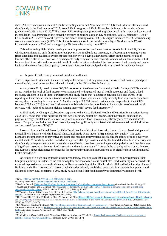

above 2% ever since with a peak of 2.8% between September and November 2017.<sup>28</sup> UK food inflation also increased significantly in the final quarter of 2017, from 2.1% in August to 4.1% in November (although this has since fallen gradually to 2.3% in May 2018).<sup>29</sup> The current UK housing crisis (discussed in greater detail in the paper on housing and mental health) has dramatically increased the pressure of housing costs on UK households. Whilst, nationally, 15% of households in 2015 were below the poverty line before housing costs (BHC), this figure increased to 21% when housing costs are taken into account (AHC). This picture is even starker in our local community of Newham with 35% of households in poverty BHC and a staggering 45% below the poverty line AHC.<sup>30</sup>

This evidence highlights the increasing economic pressures on the lowest income households in the UK, factors which, in combination, push families into food poverty. As foodbank use increases, it is becoming increasingly clear (from anecdotal and qualitative evidence) that food poverty is having a detrimental effect on the mental health of families. There also exists, however, a considerable body of scientific and medical evidence which demonstrates a link between food insecurity and poor mental health. In order to better understand the link between food poverty and mental health and make evidence-based policy recommendations, we have analysed and summarised this evidence below.

#### 4. Impact of food poverty on mental health and wellbeing

There is significant evidence in the current body of literature of a strong association between food insecurity and poor mental health, based on research conducted primarily in the UK and North America.

A study from 2017, based on over 300,000 responses to the Canadian Community Health Survey (CCHS), aimed to assess whether the level of food insecurity was associated with gradated mental health outcomes and found a food insecurity gradient in six of these. Furthermore, this study found that "a decrease between 8.1% and 16.0% in the reporting of these mental health outcomes would accrue if those who are currently severely food insecure became food secure, after controlling for covariates".<sup>31</sup> Another study of 80,000 Ontario residents who responded to the CCHS between 2005 and 2012 found that food insecure individuals were far more likely to have made use of mental health services, with "odds of utilization highest [among those with] severe food insecurity".<sup>32</sup>

A 2016 study by Chung et al., based on responses to the Korea National Health and Nutrition Examination Survey 2012-2013, found that "after adjusting for sex, age, education, household income, smoking/alcohol consumption, physical activity, marital status, and receiving food assistance", food insecurity significantly affected mental health status. The paper concludes that "food insecurity may be significantly associated with adverse mental health indicators and decreased [quality of life]".<sup>33</sup>

Research from the United States by Althoff et al. has found that food insecurity is not only associated with parental mental illness, but also with child mental illness, high Body Mass Index (BMI) and poor diet quality. This study highlights the importance of preventive medicine and nutrition interventions in reducing the effects of food poverty on mental health.<sup>34</sup> Similarly, another Canadian study from 2015 by Davison and Kaplan found that that food insecurity was significantly more prevalent among those with mental health disorders than in the general population, and that there was a "significant association between food insecurity and mania symptoms".<sup>35</sup> As with the study by Althoff et al., Davison and Kaplan's paper highlighted the potential for preventative nutrition interventions to be significant in tackling mental health disorders.<sup>36</sup>

One study of a high quality longitudinal methodology, based on over 1000 responses to the Environmental Risk Longitudinal Study in Britain, found that among low socioeconomic status households, food insecurity co-occurred with maternal depression and domestic violence, whilst also predicting higher likelihood of childhood behavioural problems.<sup>37</sup> Building on similar cross-sectional research which had previously established an association between food poverty and childhood behavioural problems, a 2012 study has also found that food insecurity is distinctively associated with

1

<sup>&</sup>lt;sup>28</sup> ONS, <u>'CPIH ANNUAL RATE 00: ALL ITEMS 2015=100'</u>.

<sup>29</sup> Trading Economics[, 'United Kingdom Food Inflation 1989-2018'.](https://tradingeconomics.com/united-kingdom/food-inflation)

<sup>30</sup> Newham Council, *[Understanding Newham, Findings from Wave 8 of the Newham Household Panel Surveys](https://www.newham.gov.uk/Documents/Misc/Research-HouseholdSurvey8.pdf)* (Ipsos Mori: London, 2016), p.82. <sup>31</sup> G Jessiman-Perreault and L McIntyre, The household food insecurity gradient and potential reductions in adverse population mental health [outcomes in Canadian adults',](https://www.ncbi.nlm.nih.gov/pubmed/29349239) *SSM Population Health*, 31:3 (2017), pp.464-472.

<sup>&</sup>lt;sup>32</sup> V Tarasuk, J Cheng, C Gundersen, C de Oliveira, P Kurdyak, 'The Relation between Food Insecurity and Mental Health Care Service Utilization in [Ontario',](https://www.ncbi.nlm.nih.gov/pubmed/29307216) *Canadian Journal of Psychiatry* (forthcoming 2018).

<sup>&</sup>lt;sup>33</sup> HK Chung HK, OY Kim, SY Kwak, Y Cho, KW Lee and MJ Shin, 'Household Food Insecurity Is Associated with Adverse Mental Health Indicators [and Lower Quality of Life among Koreans: Results from the Korea National Health and Nutrition Examination Survey 2012-2013',](https://www.ncbi.nlm.nih.gov/pmc/articles/PMC5188472/pdf/nutrients-08-00819.pdf) *Nutrients*, 16:8  $(2016)$ , pp.819-831 (p.827).

<sup>34</sup> RR Althoff, M Ametti, F Bertmann[, 'The role of food insecurity in developmental psychopathology',](https://www.ncbi.nlm.nih.gov/pmc/articles/PMC5085882/) *Preventative Medicine*, 92 (2012), pp.106-109. <sup>35</sup> KM Davison and BJ Kaplan, **Food insecurity in adults with mood disorders:** prevalence estimates and associations with nutritional and psychological [health',](https://www.ncbi.nlm.nih.gov/pmc/articles/PMC4504128/pdf/12991_2015_Article_59.pdf) *Annals of General Psychiatry*, 14:21 (2015), pp.1-7 (p.4).

<sup>36</sup> Ibid. p.6.

<sup>&</sup>lt;sup>37</sup> M Melchior, A Caspi, LM Howard, AP Ambler, H Bolton, N Mountain, TE Moffitt, *'Mental health context of food insecurity: a representative* [cohort of families with young children',](https://www.ncbi.nlm.nih.gov/pubmed/19786424) *Pediatrics*, 124:4 (2009), pp.564-72.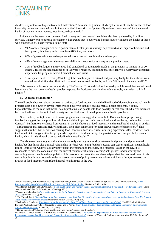

children's symptoms of hyperactivity and inattention.<sup>38</sup> Another longitudinal study by Heflin et al., on the impact of food insecurity on women's mental health, found that food insecurity has "potentially serious consequences" for the mental health of women in low-income, food insecure households.<sup>39</sup>

Evidence on the association between food poverty and poor mental health has also been gathered by frontline services. Wandsworth Foodbank, for example, has argued that "poverty and hunger severely impacts the health of those who experience it". Their research found that:

- "96% of referral agencies cited poorer mental health (stress, anxiety, depression) as an impact of hardship and food poverty in clients, an increase from 84% the year before.
- 80% of guests said they had experienced poorer mental health in the previous year.
- 47% of referral agencies witnessed suicidality in clients, twice as many as the previous year.
- 30% of foodbank guests interviewed had considered or attempted suicide in the previous 12 months (6 of 20 guests). This is the same number as in last year's research, suggesting that suicidality is a worryingly consistent experience for people in severe financial and food crisis.
- Three-quarters of referrers (76%) thought the benefits system catered badly or very badly for their clients with mental health difficulties. 19% said it catered neither well nor badly, and only 5% thought it catered well".<sup>40</sup>

This research builds on a previous study by The Trussell Trust and Oxford University which found that mental health issues were the most common health problem reported by foodbank users in the study's sample, equivalent to 1 in 3 people.<sup>41</sup>

#### **iii. A causal relationship?**

The well-established correlation between experience of food insecurity and the likelihood of developing a mental health problem does not, however, reveal whether food poverty is actually causing mental health problems. It could, hypothetically, be the case that mental health problems lead people into food poverty, or that some third factor increases both the likelihood of being in food poverty and the likelihood of developing mental health problems.

Nevertheless, multiple sources of converging evidence do suggest a causal link. Evidence from people using foodbanks suggest the receipt of food aid has a positive impact on their mental health and wellbeing, both in the UK and Canada.<sup>42</sup> Furthermore, evidence from women in the US shows that food insecurity and mental health decline in tandem  $-$  a relationship that remains highly significant, even after controlling for other known causes of depression.<sup>43</sup> This suggests that rather than depression causing food insecurity, food insecurity is causing depression. Also, evidence from the United States suggests that for people who experience food insecurity, the provision of food support helps mental health, whilst its withdrawal prompts a decline in mental health.<sup>44</sup>

The above evidence suggests that there is not only a strong relationship between food poverty and poor mental health, but that this is also a causal relationship in which worsening food (in)security can cause significant mental health issues. Thus, given what we already know about increasing food insecurity and foodbank usage in the UK, it is reasonable to draw the conclusion that the current economic situation is causing both greater food insecurity and worsening mental health in the population. It is therefore important that we also analyse what the precise drivers of this worsening food insecurity are in order to present a range of policy recommendations which may limit, or reverse, the growth of food insecurity and related mental health issues in the UK.

**<sup>.</sup>** <sup>38</sup> Maria Melchior, Jean-François Chastang, Bruno Falissard, Cédric Galéra, Richard E. Tremblay, Sylvana M. Côté and Michel Boivin, 'Food [Insecurity and Children's Mental Health: A Prospective Birth Cohort Study',](https://www.ncbi.nlm.nih.gov/pmc/articles/PMC3530436/) PLoS One, 7:12 (2012).

<sup>39</sup> CM Heflin, K Siefert and DR Williams[, 'Food insufficiency and women's mental health: findings from a 3-year panel of welfare recipients',](https://www.ncbi.nlm.nih.gov/pubmed/15927331) *Social Science and Medicine*, 61:9 (2005), pp.1971-82 (pp.1971).

<sup>40</sup> Wandsworth Foodbank, *[Poverty, Hunger and Social \(In\)Security: Experiences of Foodbank Guests and Referral Agencies in Wandsworth Borough,](https://wandsworth.foodbank.org.uk/wp-content/uploads/sites/149/2018/05/Poverty-Hunger-and-Social-Insecurity-Wandsworth-2018.pdf)  [2017-18](https://wandsworth.foodbank.org.uk/wp-content/uploads/sites/149/2018/05/Poverty-Hunger-and-Social-Insecurity-Wandsworth-2018.pdf)* (London, 2018), p.18.

<sup>&</sup>lt;sup>41</sup> The Trussell Trust, *Financial insecurity, food insecurity, and disability: The profile of people receiving emergency food assistance from The Trussell [Trust Foodbank Network in Britain](https://www.trusselltrust.org/wp-content/uploads/sites/2/2017/07/loopstrasociologyworkingpaper27oct16sanctioningfoodbankuse032016-update.pdf)* (Oxford University: Oxford, 2017), p.ix.

<sup>42</sup> Wokingham Foodbank, *[What impact does the nutritional value of Food Banks have on client's health & wellbeing?](http://www.healthwatchwokingham.co.uk/wp-content/uploads/2016/04/foodbank_report_-_july_2014.pdf)* (HealthWatch Wokingham Borough: Wokingham, 2014); F Roncarolo, S Bisset and L Potvin, ['Short-Term Effects of Traditional and Alternative Community Interventions to](https://www.ncbi.nlm.nih.gov/pubmed/26974826)  [Address Food Insecurity',](https://www.ncbi.nlm.nih.gov/pubmed/26974826) *PLoS One*, 11:3 (2016).

<sup>&</sup>lt;sup>43</sup> Heflin, Siefert and Williams, 'Food insufficiency and women's mental health', p.1977.

<sup>44</sup> Ashley L. Munger, Sandra L. Hofferth, and Stephanie K. Grutzmacher, 'The Role of the Supplemental Nutrition Assistance Program in the [Relationship between Food Insecurity and Probability of Maternal Depression',](https://www.ncbi.nlm.nih.gov/pmc/articles/PMC4962864/) *Journal of Hunger & Environmental Nutrition*, 11:2 (2016), pp.147– 161.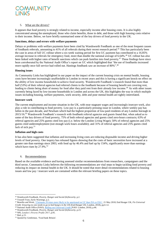

#### 5. What are the drivers?

It appears that food poverty is strongly related to income, especially income after housing costs. It is also highly concentrated among the unemployed, those who claim benefits, those in debt, and those with high housing costs relative to their income. Below, we have briefly summarised some of the key drivers of food poverty in the UK.

#### **Sanctions, delays and errors with welfare payments**

Delays or problems with welfare payments have been cited by Wandsworth Foodbank as one of the most frequent causes of foodbank referrals, amounting to 41% of all referrals during their recent research period.<sup>45</sup> This has particularly been the case in areas of full UC rollout where a six-week waiting period for first UC payment has contributed to a 16.85% average increase in referrals for emergency food, more than double the national average of 6.64%.<sup>46</sup> UC rollout has also been linked with higher rates of benefit sanctions which can push families into food poverty.<sup>47</sup> These findings have since been corroborated by the National Audit Office's report on UC which highlighted that "the use of foodbanks increased more rapidly once full service had rolled out. Hastings foodbank saw an increase of 80%".<sup>48</sup>

#### **Housing issues**

As Community Links has highlighted in our paper on the impact of the current housing crisis on mental health, housing costs have become increasingly unaffordable in London in recent years and this is having a significant knock-on effect on the ability of low income households to achieve food security. Wandsworth Foodbank's research found that more than half (53%) of their referral agencies had referred clients to the foodbank because of housing benefit not covering rent, leading to clients being short of money for food after they paid rent from their already low income.<sup>49</sup> As with other issues currently being faced by low-income households in London and across the UK, this highlights the way in which multiple issues including housing, welfare payments, work security, debt and poor mental health are tightly interrelated.

#### **Insecure work**

The current employment and income situation in the UK, with near-stagnant wages and increasingly insecure work, also play a role in contributing to food poverty. Low pay is a particularly pressing issue in London, where weekly pay has fallen in the past decade, and Newham which had the highest proportion of low-paid residents of any London borough in 2015/16.<sup>50</sup> Wandsworth Foodbank's research with foodbank referral agencies and guests found that, when asked as to some of the key drivers of food poverty, 75% of both referral agencies and guests cited zero-hours contracts; 63% of referral agencies and 25% guests cited low pay (i.e. below the London Living Wage); 50% of referral agencies and 25% guests cited underemployment (not enough work hours available); and 31% of referral agencies and 25% guests cited lack of sick pay.<sup>51</sup>

#### **Inflation and high costs**

It has also been suggested that inflation and increasing living costs are reducing disposable income and driving higher levels of food poverty. One inquiry has released figures showing that the costs of basic necessities have increased at a greater rate than earnings since 2003, with food up by 46.4% and fuel up by 154%, significantly more than earnings which have risen by  $27.9\%$ .<sup>52</sup>

#### 6. Recommendations

Based on the available evidence and having assessed similar recommendations from researchers, campaigners and the third sector, Community Links believes the following recommendations are vital steps to begin tackling food poverty and reducing its impact on mental health in the UK. It should be noted that more detail recommendations related to housing issues and low pay / insecure work are contained within the relevant briefing papers on these topics.

**.** 

<sup>45</sup> Wandsworth Foodbank, *Poverty, Hunger and Social (In)Security*, p.2.

<sup>46</sup> Trussell Trust, *Early* Warnings, p.2.

<sup>47</sup> Benefits and Work[, 'Claimants 20 times more likely to be sanctioned on UC than JSA or ESA',](https://www.benefitsandwork.co.uk/news/3765-claimants-20-times-more-likely-to-be-sanctioned-on-uc-than-jsa-or-esa) 21 May 2018; End Hunger UK, *Fix Universal Credit: Ensuring no one needs to go to bed hungry in the UK* (End Hunger UK; London, 2018), pp.6-12.

<sup>48</sup> National Audit Office (NAO), *[Rolling out Universal Credit](https://www.nao.org.uk/wp-content/uploads/2018/06/Rolling-out-Universal-Credit.pdf)* (NAO: London, 2018), p.46.

<sup>49</sup> Wandsworth Foodbank, *Poverty, Hunger and Social (In)Security*, p.23.

<sup>50</sup> NPI, *London's Poverty Profile 2017*, p.95.

<sup>51</sup> Ibid. p.15.

<sup>52</sup> Quoted by Gentleman, 'Food bank Britain'.